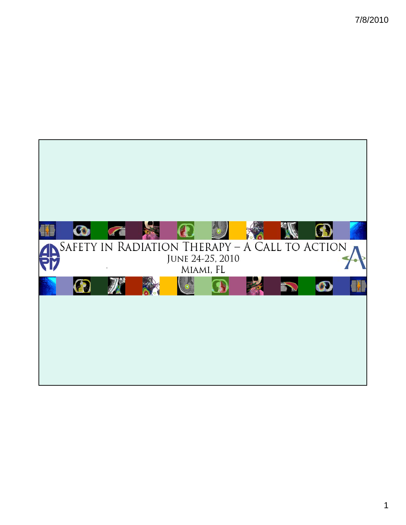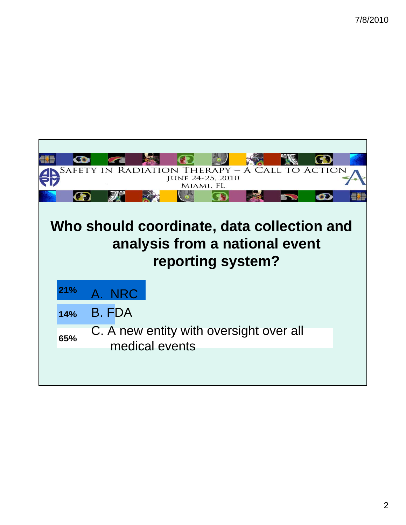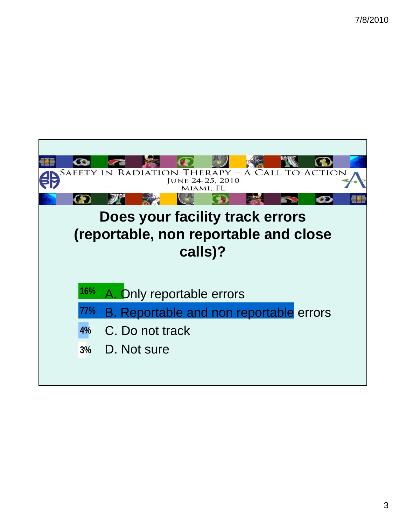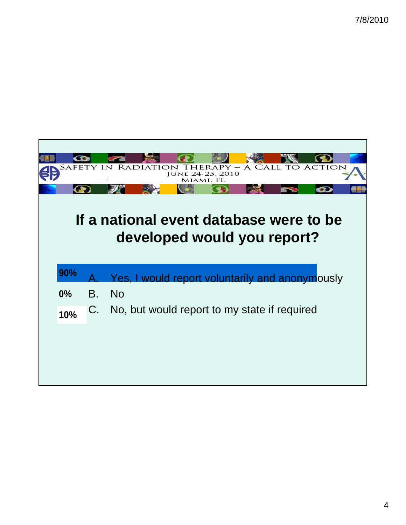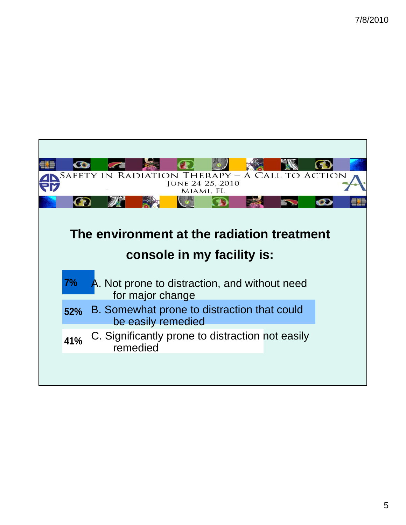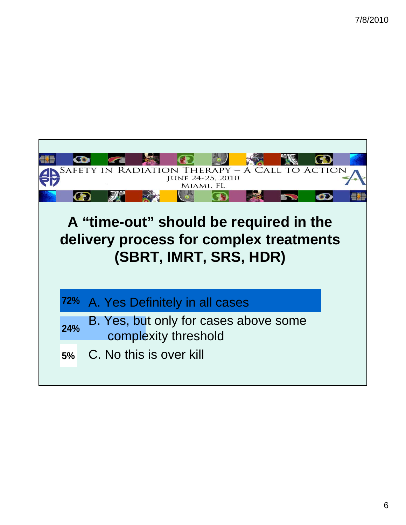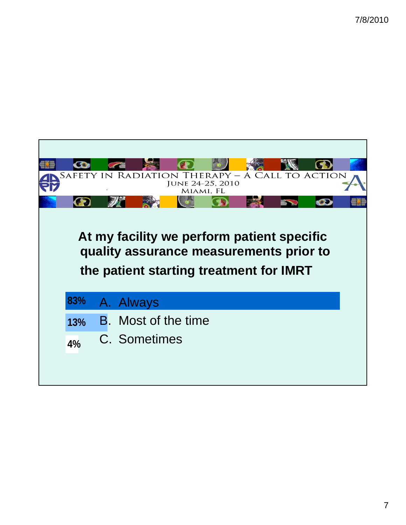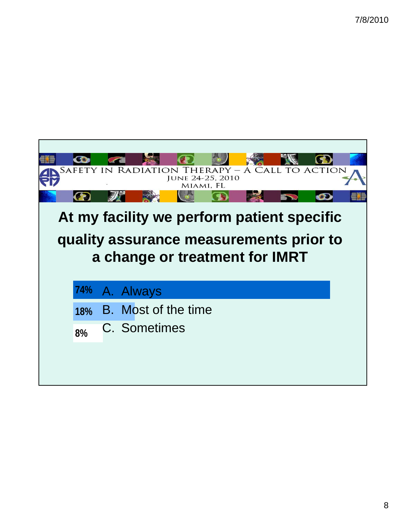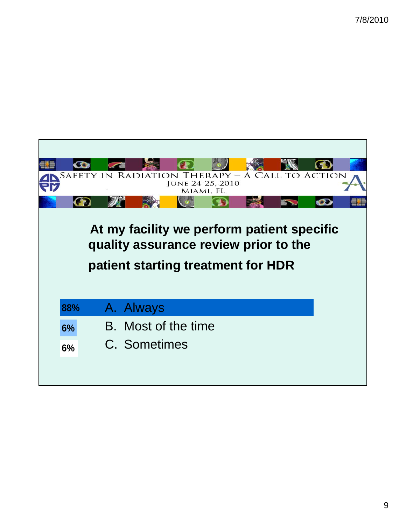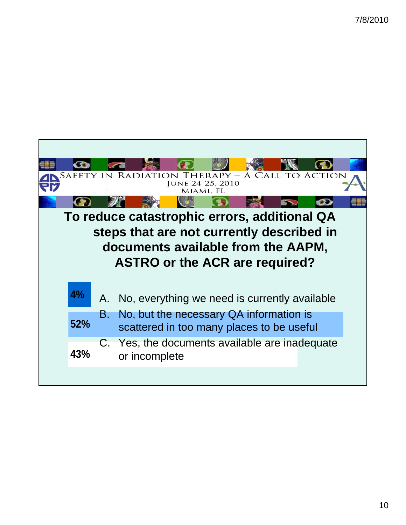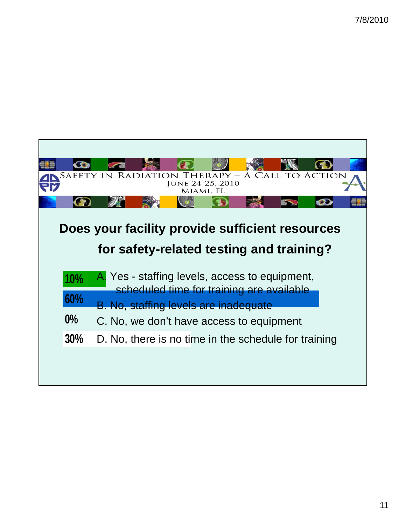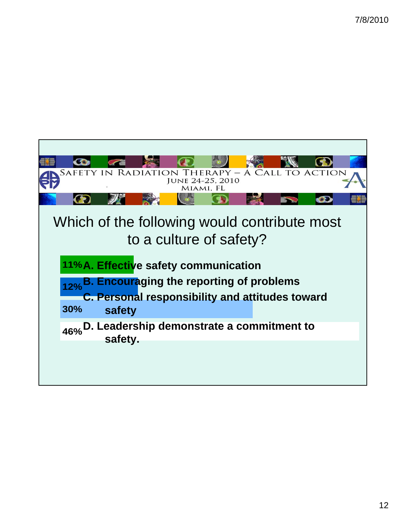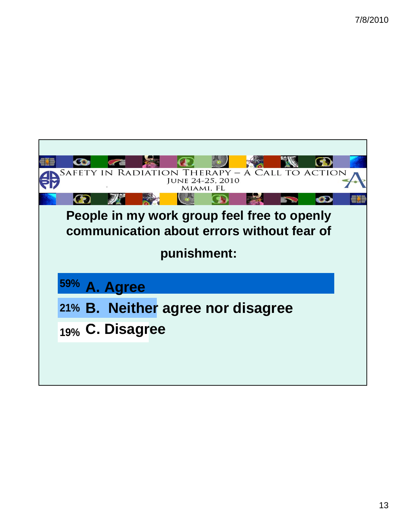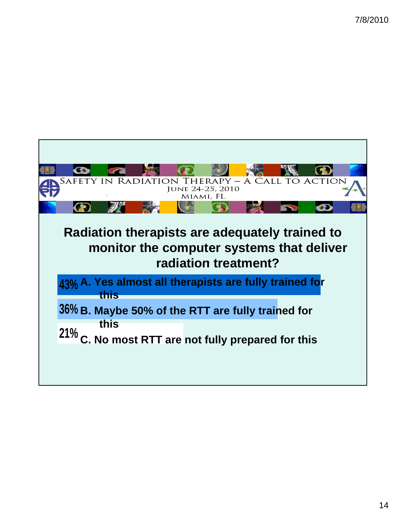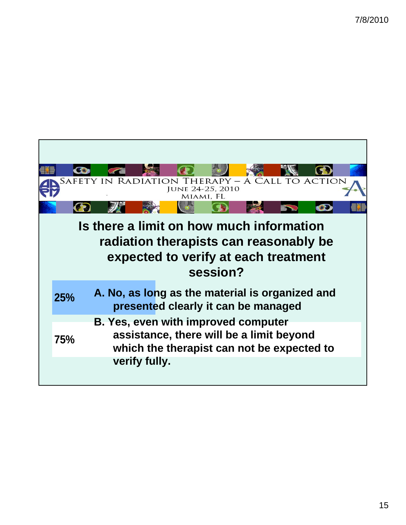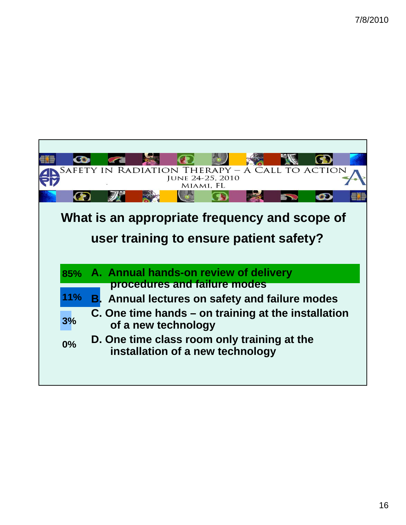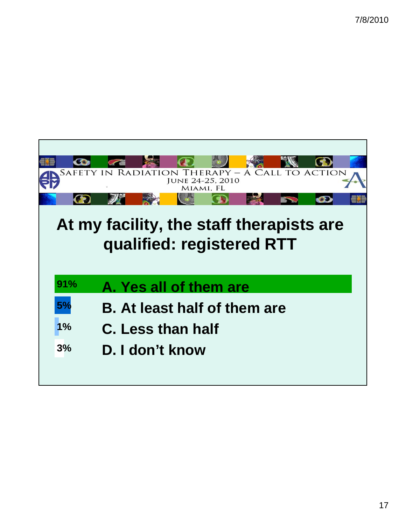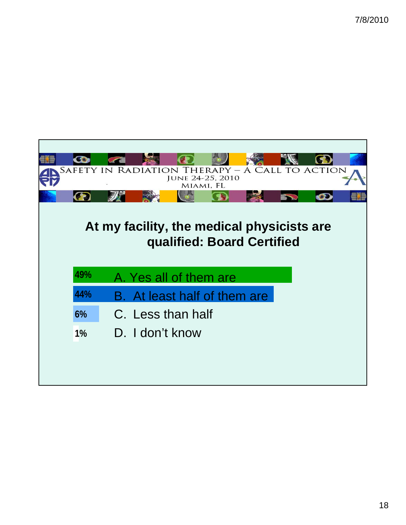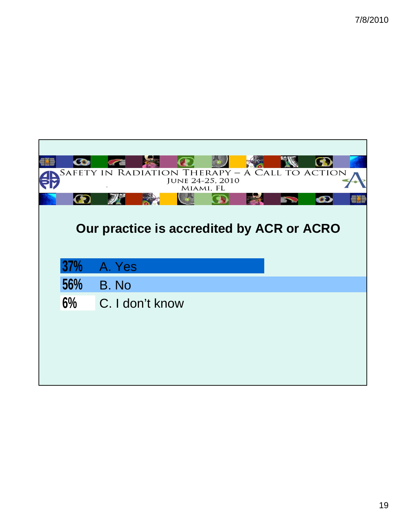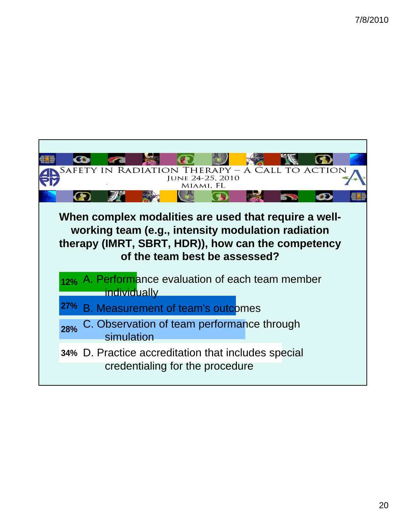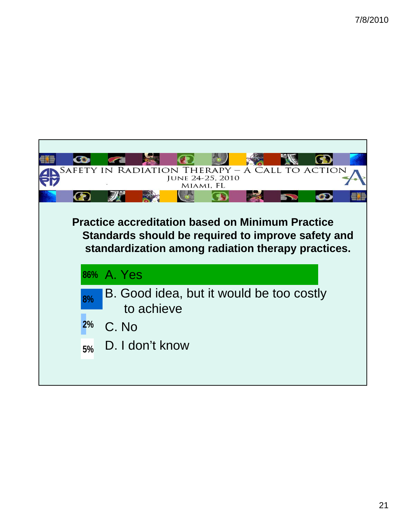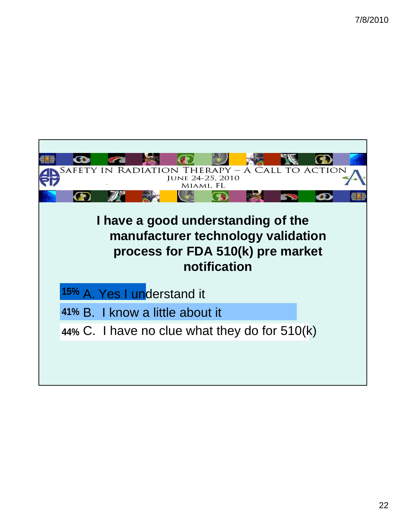